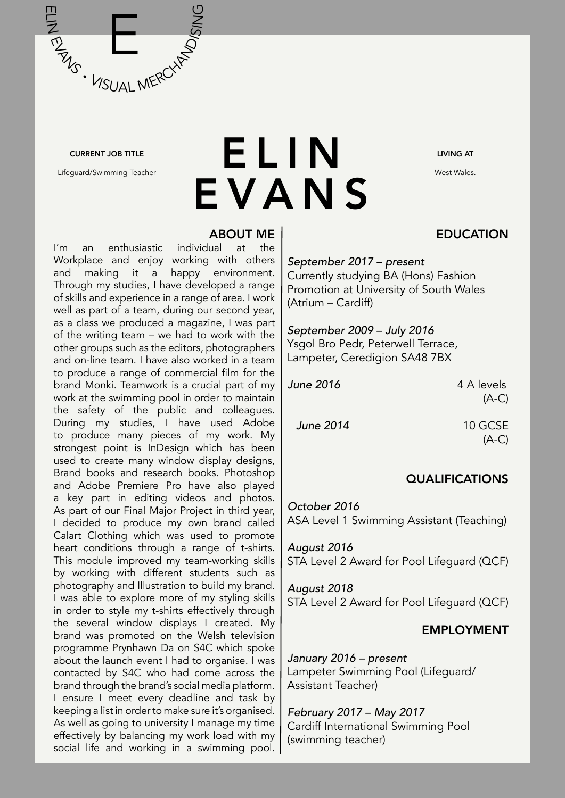

#### CURRENT JOB TITLE

Lifeguard/Swimming Teacher

# **ELIN** EVANS

#### ABOUT ME

I'm an enthusiastic individual at the Workplace and enjoy working with others and making it a happy environment. Through my studies, I have developed a range of skills and experience in a range of area. I work well as part of a team, during our second year, as a class we produced a magazine, I was part of the writing team – we had to work with the other groups such as the editors, photographers and on-line team. I have also worked in a team to produce a range of commercial film for the brand Monki. Teamwork is a crucial part of my work at the swimming pool in order to maintain the safety of the public and colleagues. During my studies, I have used Adobe to produce many pieces of my work. My strongest point is InDesign which has been used to create many window display designs, Brand books and research books. Photoshop and Adobe Premiere Pro have also played a key part in editing videos and photos. As part of our Final Major Project in third year, I decided to produce my own brand called Calart Clothing which was used to promote heart conditions through a range of t-shirts. This module improved my team-working skills by working with different students such as photography and Illustration to build my brand. I was able to explore more of my styling skills in order to style my t-shirts effectively through the several window displays I created. My brand was promoted on the Welsh television programme Prynhawn Da on S4C which spoke about the launch event I had to organise. I was contacted by S4C who had come across the brand through the brand's social media platform. I ensure I meet every deadline and task by keeping a list in order to make sure it's organised. As well as going to university I manage my time effectively by balancing my work load with my social life and working in a swimming pool. LIVING AT

West Wales.

### **EDUCATION**

#### *September 2017 – present*

Currently studying BA (Hons) Fashion Promotion at University of South Wales (Atrium – Cardiff)

#### *September 2009 – July 2016*  Ysgol Bro Pedr, Peterwell Terrace, Lampeter, Ceredigion SA48 7BX

*June 2016* 4 A levels

 $(A-C)$ 

*June 2014* 10 GCSE

(A-C)

#### QUALIFICATIONS

*October 2016*  ASA Level 1 Swimming Assistant (Teaching)

*August 2016*  STA Level 2 Award for Pool Lifeguard (QCF)

#### *August 2018*  STA Level 2 Award for Pool Lifeguard (QCF)

#### EMPLOYMENT

*January 2016 – present*  Lampeter Swimming Pool (Lifeguard/ Assistant Teacher)

*February 2017 – May 2017*  Cardiff International Swimming Pool (swimming teacher)